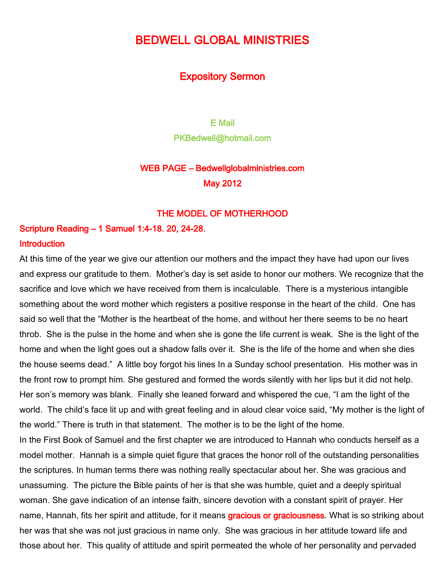# BEDWELL GLOBAL MINISTRIES

### Expository Sermon

E Mail PKBedwell@hotmail.com

## WEB PAGE – Bedwellglobalministries.com May 2012

### THE MODEL OF MOTHERHOOD

Scripture Reading – 1 Samuel 1:4-18. 20, 24-28. **Introduction** 

At this time of the year we give our attention our mothers and the impact they have had upon our lives and express our gratitude to them. Mother's day is set aside to honor our mothers. We recognize that the sacrifice and love which we have received from them is incalculable. There is a mysterious intangible something about the word mother which registers a positive response in the heart of the child. One has said so well that the "Mother is the heartbeat of the home, and without her there seems to be no heart throb. She is the pulse in the home and when she is gone the life current is weak. She is the light of the home and when the light goes out a shadow falls over it. She is the life of the home and when she dies the house seems dead." A little boy forgot his lines In a Sunday school presentation. His mother was in the front row to prompt him. She gestured and formed the words silently with her lips but it did not help. Her son's memory was blank. Finally she leaned forward and whispered the cue, "I am the light of the world. The child's face lit up and with great feeling and in aloud clear voice said, "My mother is the light of the world." There is truth in that statement. The mother is to be the light of the home. In the First Book of Samuel and the first chapter we are introduced to Hannah who conducts herself as a

model mother. Hannah is a simple quiet figure that graces the honor roll of the outstanding personalities the scriptures. In human terms there was nothing really spectacular about her. She was gracious and unassuming. The picture the Bible paints of her is that she was humble, quiet and a deeply spiritual woman. She gave indication of an intense faith, sincere devotion with a constant spirit of prayer. Her name, Hannah, fits her spirit and attitude, for it means gracious or graciousness. What is so striking about her was that she was not just gracious in name only. She was gracious in her attitude toward life and those about her. This quality of attitude and spirit permeated the whole of her personality and pervaded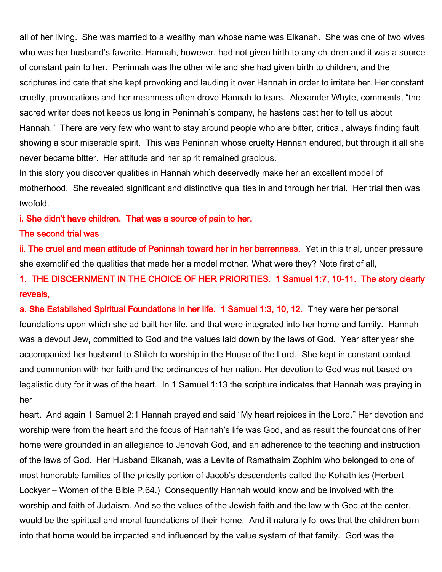all of her living. She was married to a wealthy man whose name was Elkanah. She was one of two wives who was her husband's favorite. Hannah, however, had not given birth to any children and it was a source of constant pain to her. Peninnah was the other wife and she had given birth to children, and the scriptures indicate that she kept provoking and lauding it over Hannah in order to irritate her. Her constant cruelty, provocations and her meanness often drove Hannah to tears. Alexander Whyte, comments, "the sacred writer does not keeps us long in Peninnah's company, he hastens past her to tell us about Hannah." There are very few who want to stay around people who are bitter, critical, always finding fault showing a sour miserable spirit. This was Peninnah whose cruelty Hannah endured, but through it all she never became bitter. Her attitude and her spirit remained gracious.

In this story you discover qualities in Hannah which deservedly make her an excellent model of motherhood. She revealed significant and distinctive qualities in and through her trial. Her trial then was twofold.

i. She didn't have children. That was a source of pain to her.

#### The second trial was

ii. The cruel and mean attitude of Peninnah toward her in her barrenness. Yet in this trial, under pressure she exemplified the qualities that made her a model mother. What were they? Note first of all,

1. THE DISCERNMENT IN THE CHOICE OF HER PRIORITIES. 1 Samuel 1:7, 10-11. The story clearly reveals,

a. She Established Spiritual Foundations in her life. 1 Samuel 1:3, 10, 12. They were her personal foundations upon which she ad built her life, and that were integrated into her home and family. Hannah was a devout Jew, committed to God and the values laid down by the laws of God. Year after year she accompanied her husband to Shiloh to worship in the House of the Lord. She kept in constant contact and communion with her faith and the ordinances of her nation. Her devotion to God was not based on legalistic duty for it was of the heart. In 1 Samuel 1:13 the scripture indicates that Hannah was praying in her

heart. And again 1 Samuel 2:1 Hannah prayed and said "My heart rejoices in the Lord." Her devotion and worship were from the heart and the focus of Hannah's life was God, and as result the foundations of her home were grounded in an allegiance to Jehovah God, and an adherence to the teaching and instruction of the laws of God. Her Husband Elkanah, was a Levite of Ramathaim Zophim who belonged to one of most honorable families of the priestly portion of Jacob's descendents called the Kohathites (Herbert Lockyer – Women of the Bible P.64.) Consequently Hannah would know and be involved with the worship and faith of Judaism. And so the values of the Jewish faith and the law with God at the center, would be the spiritual and moral foundations of their home. And it naturally follows that the children born into that home would be impacted and influenced by the value system of that family. God was the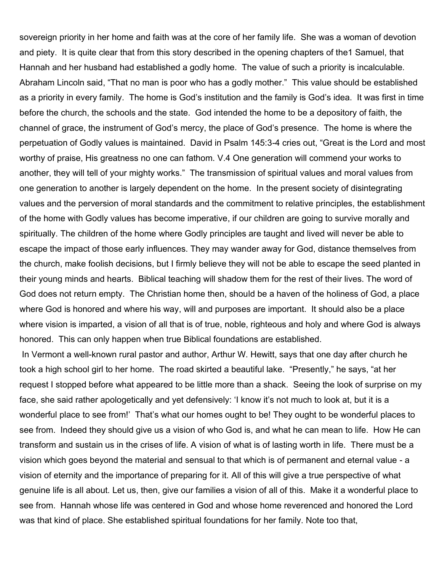sovereign priority in her home and faith was at the core of her family life. She was a woman of devotion and piety. It is quite clear that from this story described in the opening chapters of the1 Samuel, that Hannah and her husband had established a godly home. The value of such a priority is incalculable. Abraham Lincoln said, "That no man is poor who has a godly mother." This value should be established as a priority in every family. The home is God's institution and the family is God's idea. It was first in time before the church, the schools and the state. God intended the home to be a depository of faith, the channel of grace, the instrument of God's mercy, the place of God's presence. The home is where the perpetuation of Godly values is maintained. David in Psalm 145:3-4 cries out, "Great is the Lord and most worthy of praise, His greatness no one can fathom. V.4 One generation will commend your works to another, they will tell of your mighty works." The transmission of spiritual values and moral values from one generation to another is largely dependent on the home. In the present society of disintegrating values and the perversion of moral standards and the commitment to relative principles, the establishment of the home with Godly values has become imperative, if our children are going to survive morally and spiritually. The children of the home where Godly principles are taught and lived will never be able to escape the impact of those early influences. They may wander away for God, distance themselves from the church, make foolish decisions, but I firmly believe they will not be able to escape the seed planted in their young minds and hearts. Biblical teaching will shadow them for the rest of their lives. The word of God does not return empty. The Christian home then, should be a haven of the holiness of God, a place where God is honored and where his way, will and purposes are important. It should also be a place where vision is imparted, a vision of all that is of true, noble, righteous and holy and where God is always honored. This can only happen when true Biblical foundations are established.

In Vermont a well-known rural pastor and author, Arthur W. Hewitt, says that one day after church he took a high school girl to her home. The road skirted a beautiful lake. "Presently," he says, "at her request I stopped before what appeared to be little more than a shack. Seeing the look of surprise on my face, she said rather apologetically and yet defensively: 'I know it's not much to look at, but it is a wonderful place to see from!' That's what our homes ought to be! They ought to be wonderful places to see from. Indeed they should give us a vision of who God is, and what he can mean to life. How He can transform and sustain us in the crises of life. A vision of what is of lasting worth in life. There must be a vision which goes beyond the material and sensual to that which is of permanent and eternal value - a vision of eternity and the importance of preparing for it. All of this will give a true perspective of what genuine life is all about. Let us, then, give our families a vision of all of this. Make it a wonderful place to see from. Hannah whose life was centered in God and whose home reverenced and honored the Lord was that kind of place. She established spiritual foundations for her family. Note too that,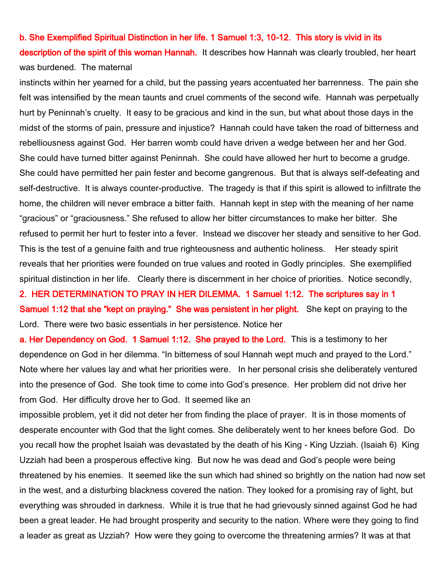b. She Exemplified Spiritual Distinction in her life. 1 Samuel 1:3, 10-12. This story is vivid in its description of the spirit of this woman Hannah. It describes how Hannah was clearly troubled, her heart was burdened. The maternal

instincts within her yearned for a child, but the passing years accentuated her barrenness. The pain she felt was intensified by the mean taunts and cruel comments of the second wife. Hannah was perpetually hurt by Peninnah's cruelty. It easy to be gracious and kind in the sun, but what about those days in the midst of the storms of pain, pressure and injustice? Hannah could have taken the road of bitterness and rebelliousness against God. Her barren womb could have driven a wedge between her and her God. She could have turned bitter against Peninnah. She could have allowed her hurt to become a grudge. She could have permitted her pain fester and become gangrenous. But that is always self-defeating and self-destructive. It is always counter-productive. The tragedy is that if this spirit is allowed to infiltrate the home, the children will never embrace a bitter faith. Hannah kept in step with the meaning of her name "gracious" or "graciousness." She refused to allow her bitter circumstances to make her bitter. She refused to permit her hurt to fester into a fever. Instead we discover her steady and sensitive to her God. This is the test of a genuine faith and true righteousness and authentic holiness. Her steady spirit reveals that her priorities were founded on true values and rooted in Godly principles. She exemplified spiritual distinction in her life. Clearly there is discernment in her choice of priorities. Notice secondly,

2. HER DETERMINATION TO PRAY IN HER DILEMMA. 1 Samuel 1:12. The scriptures say in 1 Samuel 1:12 that she "kept on praying." She was persistent in her plight. She kept on praying to the Lord. There were two basic essentials in her persistence. Notice her

a. Her Dependency on God. 1 Samuel 1:12. She prayed to the Lord. This is a testimony to her dependence on God in her dilemma. "In bitterness of soul Hannah wept much and prayed to the Lord." Note where her values lay and what her priorities were. In her personal crisis she deliberately ventured into the presence of God. She took time to come into God's presence. Her problem did not drive her from God. Her difficulty drove her to God. It seemed like an

impossible problem, yet it did not deter her from finding the place of prayer. It is in those moments of desperate encounter with God that the light comes. She deliberately went to her knees before God. Do you recall how the prophet Isaiah was devastated by the death of his King - King Uzziah. (Isaiah 6) King Uzziah had been a prosperous effective king. But now he was dead and God's people were being threatened by his enemies. It seemed like the sun which had shined so brightly on the nation had now set in the west, and a disturbing blackness covered the nation. They looked for a promising ray of light, but everything was shrouded in darkness. While it is true that he had grievously sinned against God he had been a great leader. He had brought prosperity and security to the nation. Where were they going to find a leader as great as Uzziah? How were they going to overcome the threatening armies? It was at that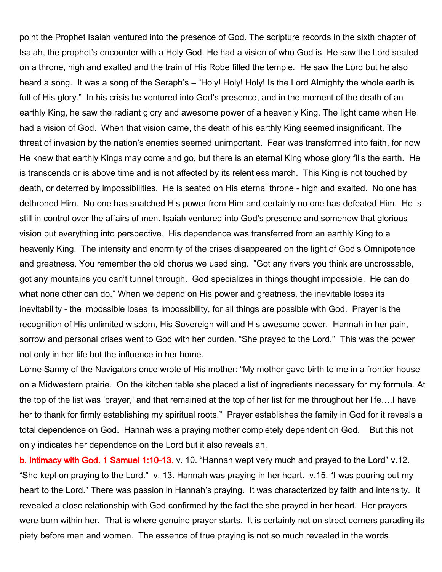point the Prophet Isaiah ventured into the presence of God. The scripture records in the sixth chapter of Isaiah, the prophet's encounter with a Holy God. He had a vision of who God is. He saw the Lord seated on a throne, high and exalted and the train of His Robe filled the temple. He saw the Lord but he also heard a song. It was a song of the Seraph's – "Holy! Holy! Holy! Is the Lord Almighty the whole earth is full of His glory." In his crisis he ventured into God's presence, and in the moment of the death of an earthly King, he saw the radiant glory and awesome power of a heavenly King. The light came when He had a vision of God. When that vision came, the death of his earthly King seemed insignificant. The threat of invasion by the nation's enemies seemed unimportant. Fear was transformed into faith, for now He knew that earthly Kings may come and go, but there is an eternal King whose glory fills the earth. He is transcends or is above time and is not affected by its relentless march. This King is not touched by death, or deterred by impossibilities. He is seated on His eternal throne - high and exalted. No one has dethroned Him. No one has snatched His power from Him and certainly no one has defeated Him. He is still in control over the affairs of men. Isaiah ventured into God's presence and somehow that glorious vision put everything into perspective. His dependence was transferred from an earthly King to a heavenly King. The intensity and enormity of the crises disappeared on the light of God's Omnipotence and greatness. You remember the old chorus we used sing. "Got any rivers you think are uncrossable, got any mountains you can't tunnel through. God specializes in things thought impossible. He can do what none other can do." When we depend on His power and greatness, the inevitable loses its inevitability - the impossible loses its impossibility, for all things are possible with God. Prayer is the recognition of His unlimited wisdom, His Sovereign will and His awesome power. Hannah in her pain, sorrow and personal crises went to God with her burden. "She prayed to the Lord." This was the power not only in her life but the influence in her home.

Lorne Sanny of the Navigators once wrote of His mother: "My mother gave birth to me in a frontier house on a Midwestern prairie. On the kitchen table she placed a list of ingredients necessary for my formula. At the top of the list was 'prayer,' and that remained at the top of her list for me throughout her life….I have her to thank for firmly establishing my spiritual roots." Prayer establishes the family in God for it reveals a total dependence on God. Hannah was a praying mother completely dependent on God. But this not only indicates her dependence on the Lord but it also reveals an,

b. Intimacy with God. 1 Samuel 1:10-13. v. 10. "Hannah wept very much and prayed to the Lord" v.12. "She kept on praying to the Lord." v. 13. Hannah was praying in her heart. v.15. "I was pouring out my heart to the Lord." There was passion in Hannah's praying. It was characterized by faith and intensity. It revealed a close relationship with God confirmed by the fact the she prayed in her heart. Her prayers were born within her. That is where genuine prayer starts. It is certainly not on street corners parading its piety before men and women. The essence of true praying is not so much revealed in the words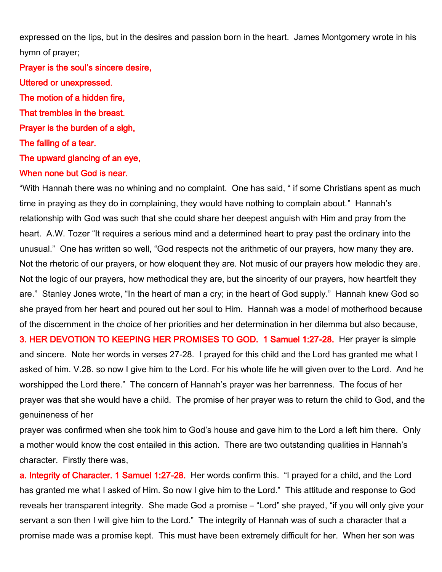expressed on the lips, but in the desires and passion born in the heart. James Montgomery wrote in his hymn of prayer;

Prayer is the soul's sincere desire, Uttered or unexpressed. The motion of a hidden fire, That trembles in the breast. Prayer is the burden of a sigh, The falling of a tear. The upward glancing of an eye, When none but God is near.

"With Hannah there was no whining and no complaint. One has said, " if some Christians spent as much time in praying as they do in complaining, they would have nothing to complain about." Hannah's relationship with God was such that she could share her deepest anguish with Him and pray from the heart. A.W. Tozer "It requires a serious mind and a determined heart to pray past the ordinary into the unusual." One has written so well, "God respects not the arithmetic of our prayers, how many they are. Not the rhetoric of our prayers, or how eloquent they are. Not music of our prayers how melodic they are. Not the logic of our prayers, how methodical they are, but the sincerity of our prayers, how heartfelt they are." Stanley Jones wrote, "In the heart of man a cry; in the heart of God supply." Hannah knew God so she prayed from her heart and poured out her soul to Him. Hannah was a model of motherhood because of the discernment in the choice of her priorities and her determination in her dilemma but also because, 3. HER DEVOTION TO KEEPING HER PROMISES TO GOD. 1 Samuel 1:27-28. Her prayer is simple and sincere. Note her words in verses 27-28. I prayed for this child and the Lord has granted me what I asked of him. V.28. so now I give him to the Lord. For his whole life he will given over to the Lord. And he worshipped the Lord there." The concern of Hannah's prayer was her barrenness. The focus of her prayer was that she would have a child. The promise of her prayer was to return the child to God, and the genuineness of her

prayer was confirmed when she took him to God's house and gave him to the Lord a left him there. Only a mother would know the cost entailed in this action. There are two outstanding qualities in Hannah's character. Firstly there was,

a. Integrity of Character. 1 Samuel 1:27-28. Her words confirm this. "I prayed for a child, and the Lord has granted me what I asked of Him. So now I give him to the Lord." This attitude and response to God reveals her transparent integrity. She made God a promise – "Lord" she prayed, "if you will only give your servant a son then I will give him to the Lord." The integrity of Hannah was of such a character that a promise made was a promise kept. This must have been extremely difficult for her. When her son was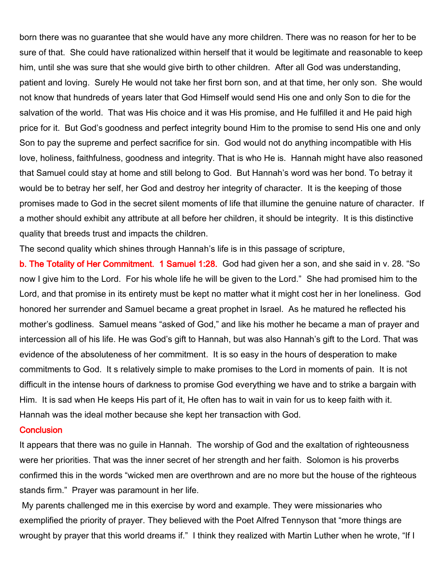born there was no guarantee that she would have any more children. There was no reason for her to be sure of that. She could have rationalized within herself that it would be legitimate and reasonable to keep him, until she was sure that she would give birth to other children. After all God was understanding, patient and loving. Surely He would not take her first born son, and at that time, her only son. She would not know that hundreds of years later that God Himself would send His one and only Son to die for the salvation of the world. That was His choice and it was His promise, and He fulfilled it and He paid high price for it. But God's goodness and perfect integrity bound Him to the promise to send His one and only Son to pay the supreme and perfect sacrifice for sin. God would not do anything incompatible with His love, holiness, faithfulness, goodness and integrity. That is who He is. Hannah might have also reasoned that Samuel could stay at home and still belong to God. But Hannah's word was her bond. To betray it would be to betray her self, her God and destroy her integrity of character. It is the keeping of those promises made to God in the secret silent moments of life that illumine the genuine nature of character. If a mother should exhibit any attribute at all before her children, it should be integrity. It is this distinctive quality that breeds trust and impacts the children.

The second quality which shines through Hannah's life is in this passage of scripture,

b. The Totality of Her Commitment. 1 Samuel 1:28. God had given her a son, and she said in v. 28. "So now I give him to the Lord. For his whole life he will be given to the Lord." She had promised him to the Lord, and that promise in its entirety must be kept no matter what it might cost her in her loneliness. God honored her surrender and Samuel became a great prophet in Israel. As he matured he reflected his mother's godliness. Samuel means "asked of God," and like his mother he became a man of prayer and intercession all of his life. He was God's gift to Hannah, but was also Hannah's gift to the Lord. That was evidence of the absoluteness of her commitment. It is so easy in the hours of desperation to make commitments to God. It s relatively simple to make promises to the Lord in moments of pain. It is not difficult in the intense hours of darkness to promise God everything we have and to strike a bargain with Him. It is sad when He keeps His part of it, He often has to wait in vain for us to keep faith with it. Hannah was the ideal mother because she kept her transaction with God.

#### **Conclusion**

It appears that there was no guile in Hannah. The worship of God and the exaltation of righteousness were her priorities. That was the inner secret of her strength and her faith. Solomon is his proverbs confirmed this in the words "wicked men are overthrown and are no more but the house of the righteous stands firm." Prayer was paramount in her life.

My parents challenged me in this exercise by word and example. They were missionaries who exemplified the priority of prayer. They believed with the Poet Alfred Tennyson that "more things are wrought by prayer that this world dreams if." I think they realized with Martin Luther when he wrote, "If I